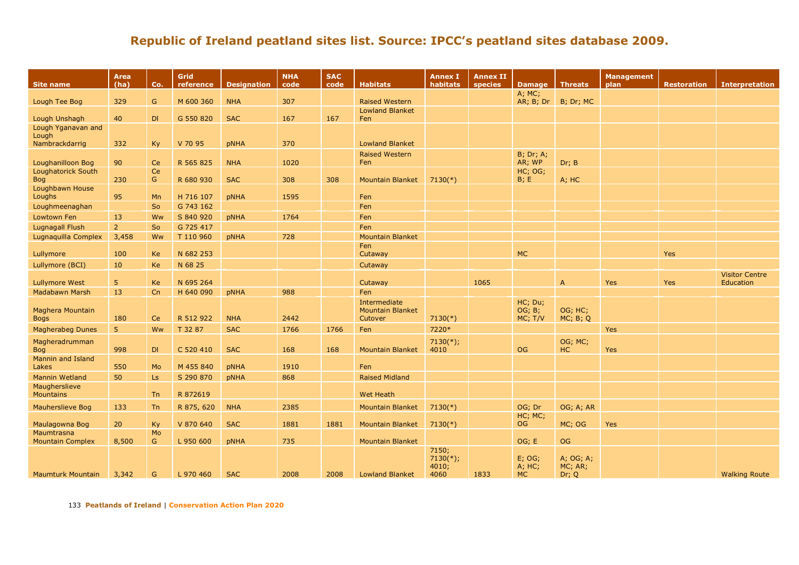| <b>Site name</b>                               | <b>Area</b><br>(ha) | Co.             | Grid<br>reference      | <b>Designation</b> | <b>NHA</b><br>code | <b>SAC</b><br>code | <b>Habitats</b>         | <b>Annex I</b><br>habitats | <b>Annex II</b><br>species | Damage   Threats    |                  | Management<br>plan | <b>Restoration</b> | <b>Interpretation</b>              |
|------------------------------------------------|---------------------|-----------------|------------------------|--------------------|--------------------|--------------------|-------------------------|----------------------------|----------------------------|---------------------|------------------|--------------------|--------------------|------------------------------------|
| Lough Tee Bog                                  | 329                 | G               | M 600 360              | <b>NHA</b>         | 307                |                    | <b>Raised Western</b>   |                            |                            | A; MC;<br>AR; B; Dr | B; Dr; MC        |                    |                    |                                    |
|                                                |                     |                 |                        |                    |                    |                    | <b>Lowland Blanket</b>  |                            |                            |                     |                  |                    |                    |                                    |
| Lough Unshagh                                  | 40                  | DI              | G 550 820              | <b>SAC</b>         | 167                | 167                | Fen                     |                            |                            |                     |                  |                    |                    |                                    |
| Lough Yganavan and<br>Lough                    |                     |                 |                        |                    |                    |                    |                         |                            |                            |                     |                  |                    |                    |                                    |
| Nambrackdarrig                                 | 332                 | Ky              | V 70 95                | <b>pNHA</b>        | 370                |                    | <b>Lowland Blanket</b>  |                            |                            |                     |                  |                    |                    |                                    |
|                                                |                     |                 |                        |                    |                    |                    | <b>Raised Western</b>   |                            |                            | <b>B</b> ; Dr; A;   |                  |                    |                    |                                    |
| Loughanilloon Bog<br><b>Loughatorick South</b> | 90                  | Ce<br>Ce        | R 565 825              | <b>NHA</b>         | 1020               |                    | Fen                     |                            |                            | AR; WP<br>HC; OG;   | Dr; B            |                    |                    |                                    |
| <b>Bog</b>                                     | 230                 | G               | R 680 930              | <b>SAC</b>         | 308                | 308                | <b>Mountain Blanket</b> | $7130(*)$                  |                            | B; E                | A; HC            |                    |                    |                                    |
| Loughbawn House                                |                     |                 |                        |                    |                    |                    |                         |                            |                            |                     |                  |                    |                    |                                    |
| Loughs                                         | 95                  | Mn              | H 716 107              | <b>pNHA</b>        | 1595               |                    | Fen                     |                            |                            |                     |                  |                    |                    |                                    |
| Loughmeenaghan<br>Lowtown Fen                  | 13                  | <b>So</b><br>Ww | G 743 162<br>S 840 920 |                    | 1764               |                    | Fen<br>Fen              |                            |                            |                     |                  |                    |                    |                                    |
| <b>Lugnagall Flush</b>                         | 2 <sup>2</sup>      | So              | G 725 417              | pNHA               |                    |                    | Fen                     |                            |                            |                     |                  |                    |                    |                                    |
| Lugnaquilla Complex                            | 3,458               | Ww              | T 110 960              | <b>pNHA</b>        | 728                |                    | <b>Mountain Blanket</b> |                            |                            |                     |                  |                    |                    |                                    |
|                                                |                     |                 |                        |                    |                    |                    | Fen                     |                            |                            |                     |                  |                    |                    |                                    |
| Lullymore                                      | 100                 | Ke              | N 682 253              |                    |                    |                    | Cutaway                 |                            |                            | <b>MC</b>           |                  |                    | Yes                |                                    |
| Lullymore (BCI)                                | 10                  | Ke              | N 68 25                |                    |                    |                    | Cutaway                 |                            |                            |                     |                  |                    |                    |                                    |
| <b>Lullymore West</b>                          | 5 <sub>5</sub>      | Ke              | N 695 264              |                    |                    |                    | Cutaway                 |                            | 1065                       |                     | $\overline{A}$   | <b>Yes</b>         | Yes                | <b>Visitor Centre</b><br>Education |
| Madabawn Marsh                                 | 13                  | Cn              | H 640 090              | <b>pNHA</b>        | 988                |                    | Fen                     |                            |                            |                     |                  |                    |                    |                                    |
|                                                |                     |                 |                        |                    |                    |                    | Intermediate            |                            |                            | HC; Du;             |                  |                    |                    |                                    |
| Maghera Mountain                               |                     |                 |                        |                    |                    |                    | <b>Mountain Blanket</b> |                            |                            | OG; B;              | OG; HC;          |                    |                    |                                    |
| <b>Bogs</b>                                    | 180                 | Ce              | R 512 922              | <b>NHA</b>         | 2442               |                    | Cutover                 | $7130(*)$                  |                            | MC; T/V             | MC; B; Q         |                    |                    |                                    |
| <b>Magherabeg Dunes</b>                        | 5 <sup>1</sup>      | Ww              | T 32 87                | <b>SAC</b>         | 1766               | 1766               | Fen                     | 7220*                      |                            |                     |                  | Yes                |                    |                                    |
| Magheradrumman<br><b>Bog</b>                   | 998                 | DI              | C 520 410              | <b>SAC</b>         | 168                | 168                | <b>Mountain Blanket</b> | $7130(*)$ ;<br>4010        |                            | <b>OG</b>           | OG; MC;<br>HC    | Yes                |                    |                                    |
| <b>Mannin and Island</b>                       |                     |                 |                        |                    |                    |                    |                         |                            |                            |                     |                  |                    |                    |                                    |
| Lakes                                          | 550                 | Mo              | M 455 840              | pNHA               | 1910               |                    | Fen                     |                            |                            |                     |                  |                    |                    |                                    |
| Mannin Wetland                                 | 50                  | Ls              | S 290 870              | pNHA               | 868                |                    | <b>Raised Midland</b>   |                            |                            |                     |                  |                    |                    |                                    |
| Maugherslieve<br><b>Mountains</b>              |                     | <b>Tn</b>       | R 872619               |                    |                    |                    | <b>Wet Heath</b>        |                            |                            |                     |                  |                    |                    |                                    |
| <b>Mauherslieve Bog</b>                        | 133                 | Tn              | R 875, 620             | <b>NHA</b>         | 2385               |                    | <b>Mountain Blanket</b> | $7130(*)$                  |                            | OG; Dr              | OG; A; AR        |                    |                    |                                    |
|                                                |                     |                 |                        |                    |                    |                    |                         |                            |                            | HC; MC;             |                  |                    |                    |                                    |
| Maulagowna Bog                                 | 20                  | Ky              | V 870 640              | <b>SAC</b>         | 1881               | 1881               | <b>Mountain Blanket</b> | $7130(*)$                  |                            | OG.                 | MC; OG           | Yes                |                    |                                    |
| Maumtrasna<br><b>Mountain Complex</b>          | 8,500               | Mo<br>G         | L 950 600              | <b>pNHA</b>        | 735                |                    | <b>Mountain Blanket</b> |                            |                            | OG; E               | OG               |                    |                    |                                    |
|                                                |                     |                 |                        |                    |                    |                    |                         | 7150;                      |                            |                     |                  |                    |                    |                                    |
|                                                |                     |                 |                        |                    |                    |                    |                         | $7130(*)$ ;                |                            | $E$ ; OG;           | A; OG; A;        |                    |                    |                                    |
| <b>Maumturk Mountain</b>                       | 3,342               | G               | L 970 460              | <b>SAC</b>         | 2008               | 2008               | <b>Lowland Blanket</b>  | 4010;<br>4060              | 1833                       | A; HC;<br><b>MC</b> | MC; AR;<br>Dr; Q |                    |                    | <b>Walking Route</b>               |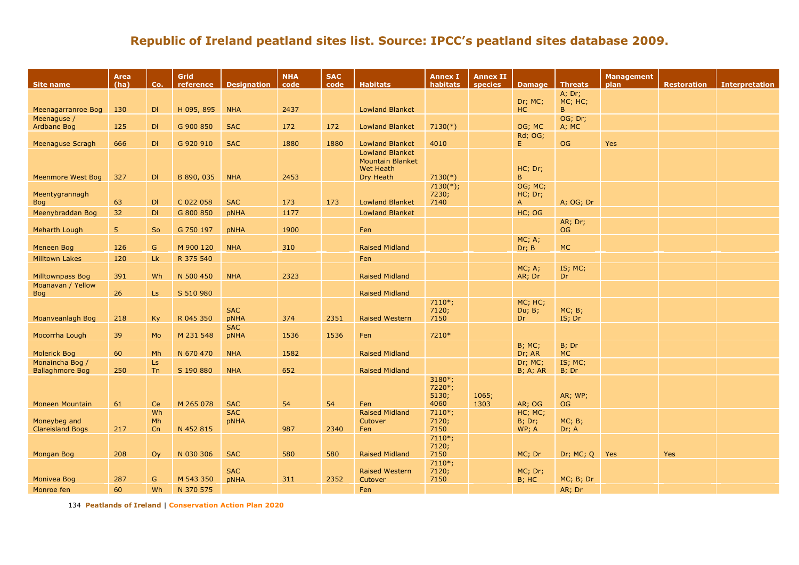| Site name                                 | Area<br>(ha)    | Co.             | Grid<br>reference | <b>Designation</b>        | <b>NHA</b><br>code | <b>SAC</b><br>code | <b>Habitats</b>                                                                    | <b>Annex I</b><br>habitats   | <b>Annex II</b><br><b>species</b> | <b>Damage</b>                      | <b>Threats</b>       | <b>Management</b><br>plan | <b>Restoration</b> | <b>Interpretation</b> |
|-------------------------------------------|-----------------|-----------------|-------------------|---------------------------|--------------------|--------------------|------------------------------------------------------------------------------------|------------------------------|-----------------------------------|------------------------------------|----------------------|---------------------------|--------------------|-----------------------|
|                                           |                 |                 |                   |                           |                    |                    |                                                                                    |                              |                                   |                                    | A; Dr;               |                           |                    |                       |
|                                           |                 |                 |                   |                           |                    |                    |                                                                                    |                              |                                   | Dr; MC;                            | MC; HC;<br>B.        |                           |                    |                       |
| Meenagarranroe Bog                        | 130             | DI              | H 095, 895        | <b>NHA</b>                | 2437               |                    | <b>Lowland Blanket</b>                                                             |                              |                                   | HC                                 | OG; Dr;              |                           |                    |                       |
| Meenaguse /<br>Ardbane Bog                | 125             | DI              | G 900 850         | <b>SAC</b>                | 172                | 172                | <b>Lowland Blanket</b>                                                             | $7130(*)$                    |                                   | OG; MC                             | A; MC                |                           |                    |                       |
|                                           |                 |                 |                   |                           |                    |                    |                                                                                    |                              |                                   | <b>Rd</b> ; OG;                    |                      |                           |                    |                       |
| Meenaguse Scragh                          | 666             | DI              | G 920 910         | <b>SAC</b>                | 1880               | 1880               | <b>Lowland Blanket</b>                                                             | 4010                         |                                   | E.                                 | <b>OG</b>            | <b>Yes</b>                |                    |                       |
| Meenmore West Bog                         | 327             | DI              | B 890, 035        | <b>NHA</b>                | 2453               |                    | <b>Lowland Blanket</b><br><b>Mountain Blanket</b><br><b>Wet Heath</b><br>Dry Heath | $7130(*)$                    |                                   | HC; Dr;<br>B.                      |                      |                           |                    |                       |
| Meentygrannagh<br><b>Bog</b>              | 63              | DI              | C 022 058         | <b>SAC</b>                | 173                | 173                | <b>Lowland Blanket</b>                                                             | $7130(*)$ ;<br>7230;<br>7140 |                                   | OG; MC;<br>HC; Dr;<br>$\mathsf{A}$ | A; OG; Dr            |                           |                    |                       |
| Meenybraddan Bog                          | 32 <sub>2</sub> | DI              | G 800 850         | pNHA                      | 1177               |                    | <b>Lowland Blanket</b>                                                             |                              |                                   | HC; OG                             |                      |                           |                    |                       |
| Meharth Lough                             | 5               | So              | G 750 197         | pNHA                      | 1900               |                    | Fen                                                                                |                              |                                   |                                    | AR; Dr;<br><b>OG</b> |                           |                    |                       |
| <b>Meneen Bog</b>                         | 126             | G               | M 900 120         | <b>NHA</b>                | 310                |                    | <b>Raised Midland</b>                                                              |                              |                                   | MC; A;<br>Dr; B                    | <b>MC</b>            |                           |                    |                       |
| <b>Milltown Lakes</b>                     | 120             | Lk              | R 375 540         |                           |                    |                    | Fen                                                                                |                              |                                   |                                    |                      |                           |                    |                       |
|                                           |                 |                 |                   |                           |                    |                    |                                                                                    |                              |                                   | MC; A;                             | IS; MC;              |                           |                    |                       |
| <b>Milltownpass Bog</b>                   | 391             | Wh              | N 500 450         | <b>NHA</b>                | 2323               |                    | <b>Raised Midland</b>                                                              |                              |                                   | AR; Dr                             | Dr                   |                           |                    |                       |
| Moanavan / Yellow                         |                 |                 |                   |                           |                    |                    |                                                                                    |                              |                                   |                                    |                      |                           |                    |                       |
| <b>Bog</b>                                | 26              | Ls              | S 510 980         |                           |                    |                    | Raised Midland                                                                     | $7110*;$                     |                                   | MC; HC;                            |                      |                           |                    |                       |
| Moanveanlagh Bog                          | 218             | <b>Ky</b>       | R 045 350         | <b>SAC</b><br>pNHA        | 374                | 2351               | <b>Raised Western</b>                                                              | 7120;<br>7150                |                                   | Du; B;<br>Dr                       | MC; B;<br>IS; Dr     |                           |                    |                       |
| Mocorrha Lough                            | 39              | Mo              | M 231 548         | <b>SAC</b><br>pNHA        | 1536               | 1536               | Fen                                                                                | 7210*                        |                                   |                                    |                      |                           |                    |                       |
| <b>Molerick Bog</b>                       | 60              | Mh              | N 670 470         | <b>NHA</b>                | 1582               |                    | <b>Raised Midland</b>                                                              |                              |                                   | <b>B</b> ; MC;<br>Dr; AR           | B; Dr<br><b>MC</b>   |                           |                    |                       |
| Monaincha Bog /<br><b>Ballaghmore Bog</b> | 250             | Ls<br><b>Tn</b> | S 190 880         | <b>NHA</b>                | 652                |                    | <b>Raised Midland</b>                                                              |                              |                                   | Dr; MC;<br><b>B</b> ; A; AR        | IS; MC;<br>B; Dr     |                           |                    |                       |
|                                           |                 |                 |                   |                           |                    |                    |                                                                                    | 3180*;<br>7220*;<br>5130;    | 1065;                             |                                    | AR; WP;              |                           |                    |                       |
| Moneen Mountain                           | 61              | Ce              | M 265 078         | <b>SAC</b><br><b>SAC</b>  | 54                 | 54                 | Fen                                                                                | 4060                         | 1303                              | AR; OG                             | <b>OG</b>            |                           |                    |                       |
| Moneybeg and<br><b>Clareisland Bogs</b>   | 217             | Wh<br>Mh<br>Cn  | N 452 815         | pNHA                      | 987                | 2340               | <b>Raised Midland</b><br>Cutover<br>Fen                                            | $7110*;$<br>7120;<br>7150    |                                   | HC; MC;<br>B; Dr;<br>WP; A         | MC; B;<br>Dr; A      |                           |                    |                       |
|                                           |                 |                 |                   |                           |                    |                    |                                                                                    | $7110*;$<br>7120;            |                                   |                                    |                      |                           |                    |                       |
| <b>Mongan Bog</b>                         | 208             | Oy              | N 030 306         | <b>SAC</b>                | 580                | 580                | <b>Raised Midland</b>                                                              | 7150                         |                                   | MC; Dr                             | Dr; MC; Q            | Yes                       | Yes                |                       |
| Monivea Bog                               | 287             | G               | M 543 350         | <b>SAC</b><br><b>pNHA</b> | 311                | 2352               | <b>Raised Western</b><br>Cutover                                                   | $7110*;$<br>7120;<br>7150    |                                   | MC; Dr;<br>$B$ ; HC                | MC; B; Dr            |                           |                    |                       |
| Monroe fen                                | 60              | Wh              | N 370 575         |                           |                    |                    | Fen                                                                                |                              |                                   |                                    | AR; Dr               |                           |                    |                       |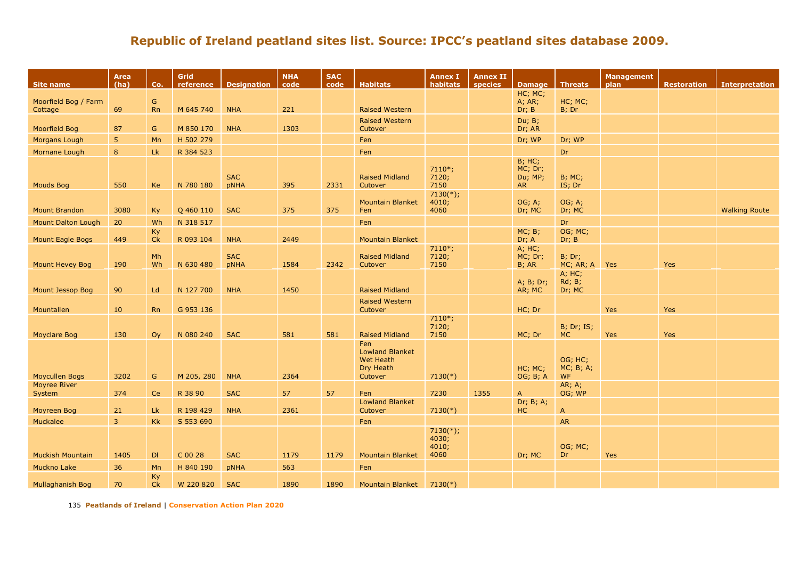| Site name                       | Area<br>(ha)   | Co.            | Grid<br>reference | <b>Designation</b> | <b>NHA</b><br>code | <b>SAC</b><br>code | <b>Habitats</b>                                             | <b>Annex I</b><br>habitats            | <b>Annex II</b><br>species | <b>Damage</b>                                     | <b>Threats</b>                             | <b>Management</b><br>plan | <b>Restoration</b> | <b>Interpretation</b> |
|---------------------------------|----------------|----------------|-------------------|--------------------|--------------------|--------------------|-------------------------------------------------------------|---------------------------------------|----------------------------|---------------------------------------------------|--------------------------------------------|---------------------------|--------------------|-----------------------|
|                                 |                |                |                   |                    |                    |                    |                                                             |                                       |                            | HC; MC;                                           |                                            |                           |                    |                       |
| Moorfield Bog / Farm<br>Cottage | 69             | G<br><b>Rn</b> | M 645 740         | <b>NHA</b>         | 221                |                    | <b>Raised Western</b>                                       |                                       |                            | A; AR;<br>Dr; B                                   | HC; MC;<br>B; Dr                           |                           |                    |                       |
|                                 |                |                |                   |                    |                    |                    | <b>Raised Western</b>                                       |                                       |                            | Du; B;                                            |                                            |                           |                    |                       |
| Moorfield Bog                   | 87             | G              | M 850 170         | <b>NHA</b>         | 1303               |                    | Cutover                                                     |                                       |                            | Dr; AR                                            |                                            |                           |                    |                       |
| Morgans Lough                   | 5              | Mn             | H 502 279         |                    |                    |                    | Fen                                                         |                                       |                            | Dr; WP                                            | Dr; WP                                     |                           |                    |                       |
| Mornane Lough                   | 8              | Lk             | R 384 523         |                    |                    |                    | Fen                                                         |                                       |                            |                                                   | Dr                                         |                           |                    |                       |
| <b>Mouds Bog</b>                | 550            | Ke             | N 780 180         | <b>SAC</b><br>pNHA | 395                | 2331               | <b>Raised Midland</b><br>Cutover                            | $7110*;$<br>7120;<br>7150             |                            | <b>B</b> ; HC;<br>MC; Dr;<br>Du; MP;<br><b>AR</b> | $B$ ; MC;<br>IS; Dr                        |                           |                    |                       |
|                                 |                |                |                   |                    |                    |                    |                                                             | $7130(*)$ ;                           |                            |                                                   |                                            |                           |                    |                       |
| <b>Mount Brandon</b>            | 3080           | Ky             | Q 460 110         | <b>SAC</b>         | 375                | 375                | <b>Mountain Blanket</b><br>Fen                              | 4010;<br>4060                         |                            | OG; A;<br>Dr; MC                                  | OG; A;<br>Dr; MC                           |                           |                    | <b>Walking Route</b>  |
| <b>Mount Dalton Lough</b>       | 20             | Wh             | N 318 517         |                    |                    |                    | Fen                                                         |                                       |                            |                                                   | Dr                                         |                           |                    |                       |
|                                 |                | Ky             |                   |                    |                    |                    |                                                             |                                       |                            | MC; B;                                            | OG; MC;                                    |                           |                    |                       |
| Mount Eagle Bogs                | 449            | Ck             | R 093 104         | <b>NHA</b>         | 2449               |                    | <b>Mountain Blanket</b>                                     | $7110*;$                              |                            | Dr; A<br>A; HC;                                   | Dr; B                                      |                           |                    |                       |
|                                 |                | Mh             |                   | <b>SAC</b>         |                    |                    | <b>Raised Midland</b>                                       | 7120;                                 |                            | MC; Dr;                                           | <b>B</b> ; Dr;                             |                           |                    |                       |
| Mount Hevey Bog                 | 190            | Wh             | N 630 480         | <b>pNHA</b>        | 1584               | 2342               | Cutover                                                     | 7150                                  |                            | B; AR                                             | MC; AR; A                                  | Yes                       | Yes                |                       |
| Mount Jessop Bog                | 90             | Ld             | N 127 700         | <b>NHA</b>         | 1450               |                    | <b>Raised Midland</b>                                       |                                       |                            | A; B; Dr;<br>AR; MC                               | A; HC;<br><b>Rd</b> ; <b>B</b> ;<br>Dr; MC |                           |                    |                       |
|                                 |                |                |                   |                    |                    |                    | <b>Raised Western</b>                                       |                                       |                            |                                                   |                                            |                           |                    |                       |
| Mountallen                      | 10             | <b>Rn</b>      | G 953 136         |                    |                    |                    | Cutover                                                     |                                       |                            | HC; Dr                                            |                                            | <b>Yes</b>                | Yes                |                       |
| <b>Moyclare Bog</b>             | 130            | Oy             | N 080 240         | <b>SAC</b>         | 581                | 581                | <b>Raised Midland</b>                                       | $7110*;$<br>7120;<br>7150             |                            | MC; Dr                                            | <b>B</b> ; Dr; IS;<br><b>MC</b>            | Yes                       | Yes                |                       |
|                                 |                |                |                   |                    |                    |                    | Fen                                                         |                                       |                            |                                                   |                                            |                           |                    |                       |
| <b>Moycullen Bogs</b>           | 3202           | ${\mathsf G}$  | M 205, 280        | <b>NHA</b>         | 2364               |                    | <b>Lowland Blanket</b><br>Wet Heath<br>Dry Heath<br>Cutover | $7130(*)$                             |                            | HC; MC;<br>OG; B; A                               | OG; HC;<br>MC; B; A;<br>WF                 |                           |                    |                       |
| <b>Moyree River</b>             |                |                |                   |                    |                    |                    |                                                             |                                       |                            |                                                   | AR; A;                                     |                           |                    |                       |
| System                          | 374            | Ce             | R 38 90           | <b>SAC</b>         | 57                 | 57                 | Fen<br><b>Lowland Blanket</b>                               | 7230                                  | 1355                       | $\mathsf{A}$<br>Dr; B; A;                         | OG; WP                                     |                           |                    |                       |
| Moyreen Bog                     | 21             | <b>Lk</b>      | R 198 429         | <b>NHA</b>         | 2361               |                    | Cutover                                                     | $7130(*)$                             |                            | HC                                                | $\overline{A}$                             |                           |                    |                       |
| Muckalee                        | $\overline{3}$ | <b>Kk</b>      | S 553 690         |                    |                    |                    | Fen                                                         |                                       |                            |                                                   | AR                                         |                           |                    |                       |
| <b>Muckish Mountain</b>         | 1405           | DI             | C 00 28           | <b>SAC</b>         | 1179               | 1179               | <b>Mountain Blanket</b>                                     | $7130(*)$ ;<br>4030;<br>4010;<br>4060 |                            | Dr; MC                                            | OG; MC;<br>Dr                              | Yes                       |                    |                       |
| Muckno Lake                     | 36             | Mn             | H 840 190         | pNHA               | 563                |                    | Fen                                                         |                                       |                            |                                                   |                                            |                           |                    |                       |
| Mullaghanish Bog                | 70             | Ky<br>Ck       | W 220 820         | <b>SAC</b>         | 1890               | 1890               | Mountain Blanket 7130(*)                                    |                                       |                            |                                                   |                                            |                           |                    |                       |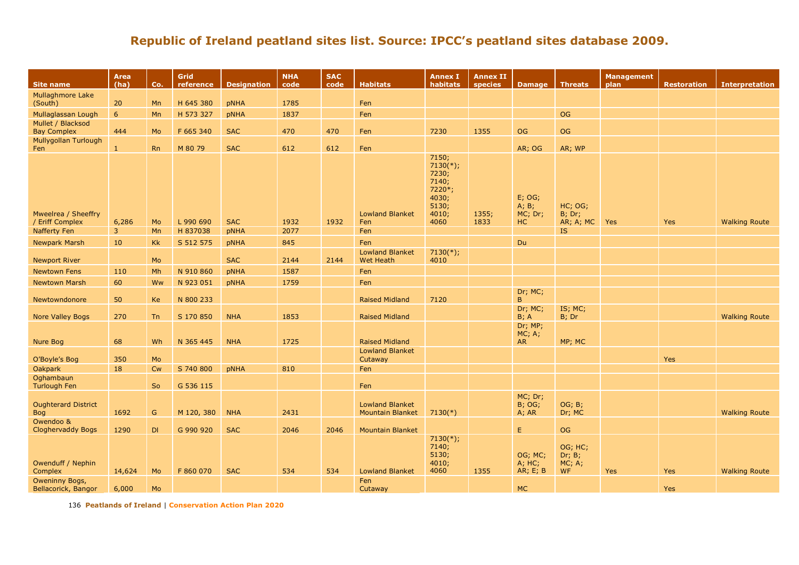| Site name                                | Area<br>(ha)   | Co.       | Grid<br>reference | <b>Designation</b> | <b>NHA</b><br>code | <b>SAC</b><br>code | <b>Habitats</b>                                   | <b>Annex I</b><br>habitats                                                  | <b>Annex II</b><br>species | <b>Damage</b>                      | Threats                                  | <b>Management</b><br>plan | <b>Restoration</b> | <b>Interpretation</b> |
|------------------------------------------|----------------|-----------|-------------------|--------------------|--------------------|--------------------|---------------------------------------------------|-----------------------------------------------------------------------------|----------------------------|------------------------------------|------------------------------------------|---------------------------|--------------------|-----------------------|
| Mullaghmore Lake                         |                |           |                   |                    |                    |                    |                                                   |                                                                             |                            |                                    |                                          |                           |                    |                       |
| (South)                                  | 20             | Mn        | H 645 380         | pNHA               | 1785               |                    | Fen                                               |                                                                             |                            |                                    |                                          |                           |                    |                       |
| Mullaglassan Lough                       | 6              | Mn        | H 573 327         | pNHA               | 1837               |                    | Fen                                               |                                                                             |                            |                                    | <b>OG</b>                                |                           |                    |                       |
| Mullet / Blacksod                        |                |           |                   |                    |                    |                    |                                                   |                                                                             |                            |                                    |                                          |                           |                    |                       |
| <b>Bay Complex</b>                       | 444            | Mo        | F 665 340         | <b>SAC</b>         | 470                | 470                | Fen                                               | 7230                                                                        | 1355                       | OG                                 | OG                                       |                           |                    |                       |
| Mullygollan Turlough<br>Fen              | 1              | <b>Rn</b> | M 80 79           | <b>SAC</b>         | 612                | 612                | Fen                                               |                                                                             |                            | AR; OG                             | AR; WP                                   |                           |                    |                       |
| Mweelrea / Sheeffry                      |                |           |                   |                    |                    |                    | <b>Lowland Blanket</b>                            | 7150;<br>$7130(*)$ ;<br>7230;<br>7140;<br>7220*;<br>4030;<br>5130;<br>4010; | 1355;                      | $E$ ; OG;<br>A; B;<br>MC; Dr;      | HC; OG;<br><b>B</b> ; Dr;                |                           |                    |                       |
| / Eriff Complex                          | 6,286          | Mo        | L 990 690         | <b>SAC</b>         | 1932               | 1932               | Fen                                               | 4060                                                                        | 1833                       | HC                                 | AR; A; MC                                | Yes                       | Yes                | <b>Walking Route</b>  |
| Nafferty Fen                             | $\overline{3}$ | Mn        | H 837038          | pNHA               | 2077               |                    | Fen                                               |                                                                             |                            |                                    | IS.                                      |                           |                    |                       |
| <b>Newpark Marsh</b>                     | 10             | Kk        | S 512 575         | pNHA               | 845                |                    | Fen                                               |                                                                             |                            | <b>Du</b>                          |                                          |                           |                    |                       |
| <b>Newport River</b>                     |                | Mo        |                   | <b>SAC</b>         | 2144               | 2144               | <b>Lowland Blanket</b><br><b>Wet Heath</b>        | $7130(*)$ ;<br>4010                                                         |                            |                                    |                                          |                           |                    |                       |
| <b>Newtown Fens</b>                      | 110            | Mh        | N 910 860         | pNHA               | 1587               |                    | Fen                                               |                                                                             |                            |                                    |                                          |                           |                    |                       |
| <b>Newtown Marsh</b>                     | 60             | Ww        | N 923 051         | pNHA               | 1759               |                    | Fen                                               |                                                                             |                            |                                    |                                          |                           |                    |                       |
| Newtowndonore                            | 50             | Ke        | N 800 233         |                    |                    |                    | <b>Raised Midland</b>                             | 7120                                                                        |                            | Dr; MC;<br>$\mathsf{B}$            |                                          |                           |                    |                       |
| Nore Valley Bogs                         | 270            | Tn        | S 170 850         | <b>NHA</b>         | 1853               |                    | <b>Raised Midland</b>                             |                                                                             |                            | Dr; MC;<br>B; A                    | IS; MC;<br>B; Dr                         |                           |                    | <b>Walking Route</b>  |
| Nure Bog                                 | 68             | Wh        | N 365 445         | <b>NHA</b>         | 1725               |                    | <b>Raised Midland</b>                             |                                                                             |                            | Dr; MP;<br>MC; A;<br><b>AR</b>     | MP; MC                                   |                           |                    |                       |
|                                          |                | Mo        |                   |                    |                    |                    | <b>Lowland Blanket</b>                            |                                                                             |                            |                                    |                                          |                           |                    |                       |
| O'Boyle's Bog<br><b>Oakpark</b>          | 350<br>18      | <b>Cw</b> | S 740 800         | <b>pNHA</b>        | 810                |                    | Cutaway<br>Fen                                    |                                                                             |                            |                                    |                                          |                           | Yes                |                       |
| Oghambaun                                |                |           |                   |                    |                    |                    |                                                   |                                                                             |                            |                                    |                                          |                           |                    |                       |
| <b>Turlough Fen</b>                      |                | So        | G 536 115         |                    |                    |                    | Fen                                               |                                                                             |                            |                                    |                                          |                           |                    |                       |
| <b>Oughterard District</b><br><b>Bog</b> | 1692           | G         | M 120, 380        | <b>NHA</b>         | 2431               |                    | <b>Lowland Blanket</b><br><b>Mountain Blanket</b> | $7130(*)$                                                                   |                            | MC; Dr;<br><b>B</b> ; OG;<br>A; AR | OG; B;<br>Dr; MC                         |                           |                    | <b>Walking Route</b>  |
| Owendoo &                                |                |           |                   |                    |                    |                    |                                                   |                                                                             |                            |                                    |                                          |                           |                    |                       |
| <b>Cloghervaddy Bogs</b>                 | 1290           | DI        | G 990 920         | <b>SAC</b>         | 2046               | 2046               | <b>Mountain Blanket</b>                           |                                                                             |                            | E.                                 | OG                                       |                           |                    |                       |
| Owenduff / Nephin<br>Complex             | 14,624         | Mo        | F 860 070         | <b>SAC</b>         | 534                | 534                | <b>Lowland Blanket</b>                            | $7130(*)$ ;<br>7140;<br>5130;<br>4010;<br>4060                              | 1355                       | OG; MC;<br>A; HC;<br>AR; E; B      | OG; HC;<br>Dr; B;<br>MC; A;<br><b>WF</b> | Yes                       | Yes                | <b>Walking Route</b>  |
| Oweninny Bogs,                           |                |           |                   |                    |                    |                    | Fen                                               |                                                                             |                            |                                    |                                          |                           |                    |                       |
| Bellacorick, Bangor                      | 6,000          | Mo        |                   |                    |                    |                    | Cutaway                                           |                                                                             |                            | <b>MC</b>                          |                                          |                           | Yes                |                       |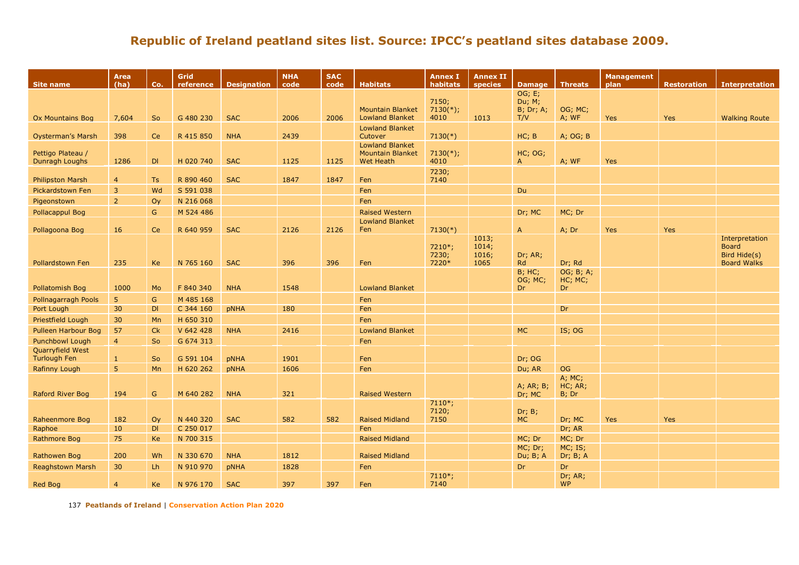| Site name                               | <b>Area</b><br>(ha) | Co.          | Grid<br>reference | <b>Designation</b> | <b>NHA</b><br>code | <b>SAC</b><br>code | <b>Habitats</b>                                                       | <b>Annex I</b><br>habitats | <b>Annex II</b><br>species      | <b>Damage</b>                   | <b>Threats</b>             | <b>Management</b><br>plan | <b>Restoration</b> | <b>Interpretation</b>                                                |
|-----------------------------------------|---------------------|--------------|-------------------|--------------------|--------------------|--------------------|-----------------------------------------------------------------------|----------------------------|---------------------------------|---------------------------------|----------------------------|---------------------------|--------------------|----------------------------------------------------------------------|
|                                         |                     |              |                   |                    |                    |                    |                                                                       | 7150;                      |                                 | OG; E;<br>Du; M;                |                            |                           |                    |                                                                      |
| Ox Mountains Bog                        | 7,604               | So           | G 480 230         | <b>SAC</b>         | 2006               | 2006               | <b>Mountain Blanket</b><br><b>Lowland Blanket</b>                     | $7130(*)$ ;<br>4010        | 1013                            | $B$ ; Dr; A;<br>T/V             | OG; MC;<br>A; WF           | Yes                       | Yes                | <b>Walking Route</b>                                                 |
| <b>Oysterman's Marsh</b>                | 398                 | <b>Ce</b>    | R 415 850         | <b>NHA</b>         | 2439               |                    | <b>Lowland Blanket</b><br>Cutover                                     | $7130(*)$                  |                                 | HC; B                           | A; OG; B                   |                           |                    |                                                                      |
| Pettigo Plateau /<br>Dunragh Loughs     | 1286                | DI           | H 020 740         | <b>SAC</b>         | 1125               | 1125               | <b>Lowland Blanket</b><br><b>Mountain Blanket</b><br><b>Wet Heath</b> | $7130(*)$ ;<br>4010        |                                 | HC; OG;<br>A                    | $A$ ; WF                   | <b>Yes</b>                |                    |                                                                      |
| <b>Philipston Marsh</b>                 | $\overline{4}$      | <b>Ts</b>    | R 890 460         | <b>SAC</b>         | 1847               | 1847               | Fen                                                                   | 7230;<br>7140              |                                 |                                 |                            |                           |                    |                                                                      |
| <b>Pickardstown Fen</b>                 | $\overline{3}$      | Wd           | S 591 038         |                    |                    |                    | Fen                                                                   |                            |                                 | <b>Du</b>                       |                            |                           |                    |                                                                      |
| Pigeonstown                             | $\overline{2}$      | Oy           | N 216 068         |                    |                    |                    | Fen                                                                   |                            |                                 |                                 |                            |                           |                    |                                                                      |
| Pollacappul Bog                         |                     | $\mathsf{G}$ | M 524 486         |                    |                    |                    | <b>Raised Western</b>                                                 |                            |                                 | Dr; MC                          | MC; Dr                     |                           |                    |                                                                      |
|                                         |                     |              |                   |                    |                    |                    | <b>Lowland Blanket</b>                                                |                            |                                 |                                 |                            |                           |                    |                                                                      |
| Pollagoona Bog                          | 16                  | Ce           | R 640 959         | <b>SAC</b>         | 2126               | 2126               | Fen                                                                   | $7130(*)$                  |                                 | $\mathsf{A}$                    | A; Dr                      | <b>Yes</b>                | Yes                |                                                                      |
| <b>Pollardstown Fen</b>                 | 235                 | <b>Ke</b>    | N 765 160         | <b>SAC</b>         | 396                | 396                | Fen                                                                   | 7210*;<br>7230;<br>7220*   | 1013;<br>1014;<br>1016;<br>1065 | Dr; AR;<br><b>Rd</b>            | Dr; Rd                     |                           |                    | Interpretation<br><b>Board</b><br>Bird Hide(s)<br><b>Board Walks</b> |
| Pollatomish Bog                         | 1000                | Mo           | F 840 340         | <b>NHA</b>         | 1548               |                    | <b>Lowland Blanket</b>                                                |                            |                                 | <b>B</b> ; HC;<br>OG; MC;<br>Dr | OG; B; A;<br>HC; MC;<br>Dr |                           |                    |                                                                      |
| Pollnagarragh Pools                     | 5                   | $\mathsf{G}$ | M 485 168         |                    |                    |                    | Fen                                                                   |                            |                                 |                                 |                            |                           |                    |                                                                      |
| Port Lough                              | 30                  | DI           | C 344 160         | pNHA               | 180                |                    | Fen                                                                   |                            |                                 |                                 | <b>Dr</b>                  |                           |                    |                                                                      |
| <b>Priestfield Lough</b>                | 30                  | Mn           | H 650 310         |                    |                    |                    | Fen                                                                   |                            |                                 |                                 |                            |                           |                    |                                                                      |
| Pulleen Harbour Bog                     | 57                  | Ck           | V 642 428         | <b>NHA</b>         | 2416               |                    | <b>Lowland Blanket</b>                                                |                            |                                 | <b>MC</b>                       | IS; OG                     |                           |                    |                                                                      |
| <b>Punchbowl Lough</b>                  | $\overline{4}$      | So           | G 674 313         |                    |                    |                    | Fen                                                                   |                            |                                 |                                 |                            |                           |                    |                                                                      |
| Quarryfield West<br><b>Turlough Fen</b> | -1                  | <b>So</b>    | G 591 104         | pNHA               | 1901               |                    | Fen                                                                   |                            |                                 | Dr; OG                          |                            |                           |                    |                                                                      |
| Rafinny Lough                           | 5                   | Mn           | H 620 262         | <b>pNHA</b>        | 1606               |                    | Fen                                                                   |                            |                                 | Du; AR                          | <b>OG</b>                  |                           |                    |                                                                      |
| Raford River Bog                        | 194                 | G            | M 640 282         | <b>NHA</b>         | 321                |                    | <b>Raised Western</b>                                                 |                            |                                 | A; AR; B;<br>Dr; MC             | A; MC;<br>HC; AR;<br>B; Dr |                           |                    |                                                                      |
| Raheenmore Bog                          | 182                 | Oy           | N 440 320         | <b>SAC</b>         | 582                | 582                | <b>Raised Midland</b>                                                 | $7110*;$<br>7120;<br>7150  |                                 | Dr; B;<br><b>MC</b>             | Dr; MC                     | Yes                       | Yes                |                                                                      |
| Raphoe                                  | 10                  | DI           | C 250 017         |                    |                    |                    | Fen                                                                   |                            |                                 |                                 | Dr; AR                     |                           |                    |                                                                      |
| Rathmore Bog                            | 75                  | Ke           | N 700 315         |                    |                    |                    | <b>Raised Midland</b>                                                 |                            |                                 | MC; Dr                          | MC; Dr                     |                           |                    |                                                                      |
| Rathowen Bog                            | 200                 | Wh           | N 330 670         | <b>NHA</b>         | 1812               |                    | <b>Raised Midland</b>                                                 |                            |                                 | MC; Dr;<br>Du; B; A             | MC; IS;<br>Dr; B; A        |                           |                    |                                                                      |
| <b>Reaghstown Marsh</b>                 | 30                  | Lh           | N 910 970         | pNHA               | 1828               |                    | Fen                                                                   |                            |                                 | <b>Dr</b>                       | Dr                         |                           |                    |                                                                      |
| Red Bog                                 | $\overline{4}$      | <b>Ke</b>    | N 976 170         | <b>SAC</b>         | 397                | 397                | Fen                                                                   | $7110*;$<br>7140           |                                 |                                 | Dr; AR;<br><b>WP</b>       |                           |                    |                                                                      |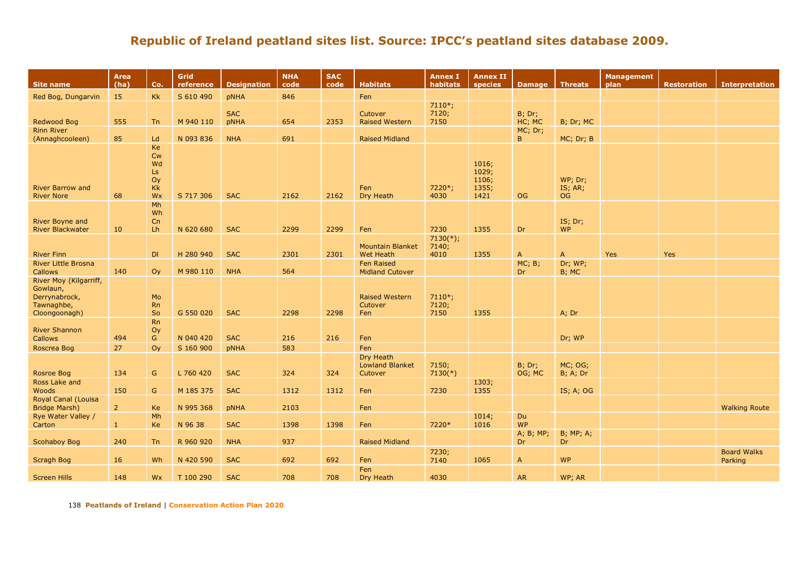| <b>Site name</b>                                                                   | Area<br>(ha)   | Co.                                                  | Grid<br>reference | <b>Designation</b> | <b>NHA</b><br>code | <b>SAC</b><br>code | <b>Habitats</b>                             | <b>Annex I</b><br>habitats | <b>Annex II</b><br>species               | Damage   Threats       |                             | <b>Management</b><br>plan | <b>Restoration</b> | <b>Interpretation</b> |
|------------------------------------------------------------------------------------|----------------|------------------------------------------------------|-------------------|--------------------|--------------------|--------------------|---------------------------------------------|----------------------------|------------------------------------------|------------------------|-----------------------------|---------------------------|--------------------|-----------------------|
| Red Bog, Dungarvin                                                                 | 15             | <b>Kk</b>                                            | S 610 490         | pNHA               | 846                |                    | Fen                                         |                            |                                          |                        |                             |                           |                    |                       |
| Redwood Bog                                                                        | 555            | <b>Tn</b>                                            | M 940 110         | <b>SAC</b><br>pNHA | 654                | 2353               | Cutover<br><b>Raised Western</b>            | $7110*;$<br>7120;<br>7150  |                                          | $B$ ; Dr;<br>HC; MC    | B; Dr; MC                   |                           |                    |                       |
| <b>Rinn River</b>                                                                  |                |                                                      |                   |                    |                    |                    |                                             |                            |                                          | MC; Dr;                |                             |                           |                    |                       |
| (Annaghcooleen)                                                                    | 85             | Ld                                                   | N 093 836         | <b>NHA</b>         | 691                |                    | <b>Raised Midland</b>                       |                            |                                          | B.                     | MC; Dr; B                   |                           |                    |                       |
| <b>River Barrow and</b><br><b>River Nore</b>                                       | 68             | Ke<br><b>Cw</b><br>Wd<br>Ls<br>Oy<br><b>Kk</b><br>Wx | S 717 306         | <b>SAC</b>         | 2162               | 2162               | Fen<br>Dry Heath                            | 7220*;<br>4030             | 1016;<br>1029;<br>1106;<br>1355;<br>1421 | OG.                    | WP; Dr;<br>IS; AR;<br>OG.   |                           |                    |                       |
|                                                                                    |                | Mh                                                   |                   |                    |                    |                    |                                             |                            |                                          |                        |                             |                           |                    |                       |
| River Boyne and<br><b>River Blackwater</b>                                         | 10             | Wh<br>Cn<br>Lh                                       | N 620 680         | <b>SAC</b>         | 2299               | 2299               | Fen                                         | 7230                       | 1355                                     | Dr                     | IS; Dr;<br><b>WP</b>        |                           |                    |                       |
|                                                                                    |                |                                                      |                   |                    |                    |                    |                                             | $7130(*)$ ;                |                                          |                        |                             |                           |                    |                       |
| <b>River Finn</b>                                                                  |                | DI                                                   | H 280 940         | <b>SAC</b>         | 2301               | 2301               | <b>Mountain Blanket</b><br><b>Wet Heath</b> | 7140;<br>4010              | 1355                                     | $\mathsf{A}$           | $\overline{A}$              | Yes                       | Yes                |                       |
| <b>River Little Brosna</b><br><b>Callows</b>                                       | 140            | Oy                                                   | M 980 110         | <b>NHA</b>         | 564                |                    | <b>Fen Raised</b><br><b>Midland Cutover</b> |                            |                                          | MC; B;<br>Dr.          | Dr; WP;<br>B; MC            |                           |                    |                       |
| River Moy (Kilgarriff,<br>Gowlaun,<br>Derrynabrock,<br>Tawnaghbe,<br>Cloongoonagh) |                | Mo<br><b>Rn</b><br>So                                | G 550 020         | <b>SAC</b>         | 2298               | 2298               | <b>Raised Western</b><br>Cutover<br>Fen     | $7110*;$<br>7120;<br>7150  | 1355                                     |                        | A; Dr                       |                           |                    |                       |
| <b>River Shannon</b>                                                               |                | <b>Rn</b><br>Oy                                      | N 040 420         | <b>SAC</b>         | 216                | 216                |                                             |                            |                                          |                        |                             |                           |                    |                       |
| <b>Callows</b>                                                                     | 494            | G                                                    |                   |                    |                    |                    | Fen                                         |                            |                                          |                        | Dr; WP                      |                           |                    |                       |
| Roscrea Bog                                                                        | 27             | Oy                                                   | S 160 900         | pNHA               | 583                |                    | Fen<br>Dry Heath                            |                            |                                          |                        |                             |                           |                    |                       |
| Rosroe Bog                                                                         | 134            | G                                                    | L 760 420         | <b>SAC</b>         | 324                | 324                | <b>Lowland Blanket</b><br>Cutover           | 7150;<br>$7130(*)$         |                                          | $B$ ; Dr;<br>OG; MC    | MC; OG;<br><b>B</b> ; A; Dr |                           |                    |                       |
| Ross Lake and                                                                      |                |                                                      |                   |                    |                    |                    |                                             |                            | 1303;                                    |                        |                             |                           |                    |                       |
| Woods                                                                              | 150            | ${\mathsf G}$                                        | M 185 375         | <b>SAC</b>         | 1312               | 1312               | Fen                                         | 7230                       | 1355                                     |                        | IS; A; OG                   |                           |                    |                       |
| <b>Royal Canal (Louisa</b>                                                         |                |                                                      |                   |                    |                    |                    |                                             |                            |                                          |                        |                             |                           |                    |                       |
| <b>Bridge Marsh)</b>                                                               | $\overline{2}$ | Ke                                                   | N 995 368         | pNHA               | 2103               |                    | Fen                                         |                            |                                          |                        |                             |                           |                    | <b>Walking Route</b>  |
| Rye Water Valley /                                                                 | 1              | Mh                                                   | N 96 38           | <b>SAC</b>         | 1398               | 1398               | Fen                                         | 7220*                      | 1014;<br>1016                            | <b>Du</b><br><b>WP</b> |                             |                           |                    |                       |
| Carton                                                                             |                | Ke                                                   |                   |                    |                    |                    |                                             |                            |                                          | A; B; MP;              | <b>B</b> ; MP; A;           |                           |                    |                       |
| <b>Scohaboy Bog</b>                                                                | 240            | Tn                                                   | R 960 920         | <b>NHA</b>         | 937                |                    | <b>Raised Midland</b>                       |                            |                                          | Dr                     | Dr                          |                           |                    |                       |
|                                                                                    |                |                                                      |                   |                    |                    |                    |                                             | 7230;                      |                                          |                        |                             |                           |                    | <b>Board Walks</b>    |
| Scragh Bog                                                                         | 16             | Wh                                                   | N 420 590         | <b>SAC</b>         | 692                | 692                | Fen                                         | 7140                       | 1065                                     | $\mathsf{A}$           | <b>WP</b>                   |                           |                    | Parking               |
|                                                                                    |                |                                                      |                   |                    |                    |                    | Fen                                         |                            |                                          |                        |                             |                           |                    |                       |
| <b>Screen Hills</b>                                                                | 148            | Wx                                                   | T 100 290         | <b>SAC</b>         | 708                | 708                | Dry Heath                                   | 4030                       |                                          | <b>AR</b>              | WP; AR                      |                           |                    |                       |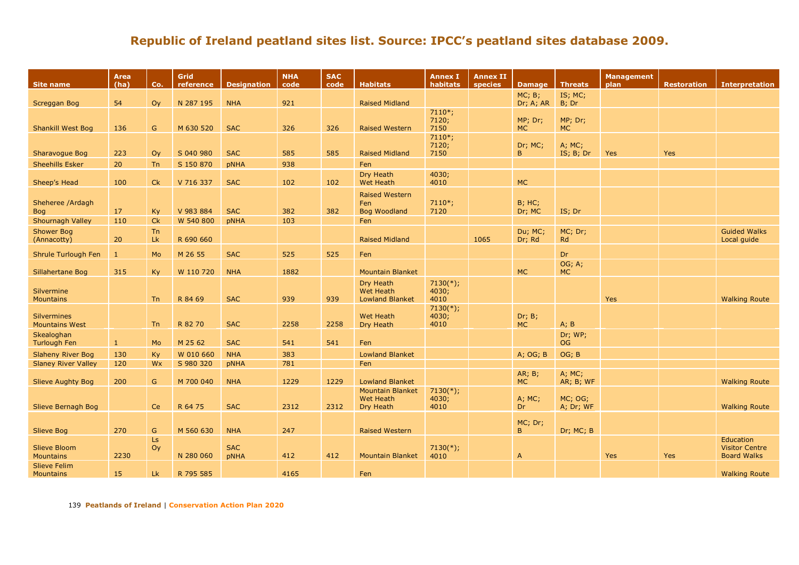| <b>Site name</b>                        | <b>Area</b><br>(ha) | Co.             | Grid<br>reference | <b>Designation</b> | <b>NHA</b><br>code | <b>SAC</b><br>code | <b>Habitats</b>                                         | <b>Annex I</b><br>habitats   | <b>Annex II</b><br>species | <b>Damage</b>            | <b>Threats</b>       | <b>Management</b><br>plan | <b>Restoration</b> | <b>Interpretation</b>                                           |
|-----------------------------------------|---------------------|-----------------|-------------------|--------------------|--------------------|--------------------|---------------------------------------------------------|------------------------------|----------------------------|--------------------------|----------------------|---------------------------|--------------------|-----------------------------------------------------------------|
| <b>Screggan Bog</b>                     | 54                  | O <sub>V</sub>  | N 287 195         | <b>NHA</b>         | 921                |                    | <b>Raised Midland</b>                                   |                              |                            | MC; B;<br>Dr; A; AR      | IS; MC;<br>B; Dr     |                           |                    |                                                                 |
| <b>Shankill West Bog</b>                | 136                 | G               | M 630 520         | <b>SAC</b>         | 326                | 326                | <b>Raised Western</b>                                   | $7110*;$<br>7120;<br>7150    |                            | MP; Dr;<br><b>MC</b>     | MP; Dr;<br><b>MC</b> |                           |                    |                                                                 |
| <b>Sharavogue Bog</b>                   | 223                 | O <sub>V</sub>  | S 040 980         | <b>SAC</b>         | 585                | 585                | <b>Raised Midland</b>                                   | $7110*;$<br>7120;<br>7150    |                            | Dr; MC;<br>B.            | A; MC;<br>IS; B; Dr  | <b>Yes</b>                | Yes                |                                                                 |
| <b>Sheehills Esker</b>                  | 20                  | Tn              | S 150 870         | pNHA               | 938                |                    | Fen                                                     |                              |                            |                          |                      |                           |                    |                                                                 |
| Sheep's Head                            | 100                 | Ck              | V 716 337         | <b>SAC</b>         | 102                | 102                | Dry Heath<br><b>Wet Heath</b>                           | 4030;<br>4010                |                            | <b>MC</b>                |                      |                           |                    |                                                                 |
| Sheheree /Ardagh<br>Bog                 | 17                  | <b>Ky</b>       | V 983 884         | <b>SAC</b>         | 382                | 382                | <b>Raised Western</b><br>Fen<br><b>Bog Woodland</b>     | $7110*;$<br>7120             |                            | <b>B</b> ; HC;<br>Dr; MC | IS; Dr               |                           |                    |                                                                 |
| Shournagh Valley                        | 110                 | Ck              | W 540 800         | <b>pNHA</b>        | 103                |                    | Fen                                                     |                              |                            |                          |                      |                           |                    |                                                                 |
| <b>Shower Bog</b><br>(Annacotty)        | 20                  | <b>Tn</b><br>Lk | R 690 660         |                    |                    |                    | <b>Raised Midland</b>                                   |                              | 1065                       | Du; MC;<br>Dr; Rd        | MC; Dr;<br>Rd        |                           |                    | <b>Guided Walks</b><br>Local quide                              |
| <b>Shrule Turlough Fen</b>              | $\mathbf{1}$        | Mo              | M 26 55           | <b>SAC</b>         | 525                | 525                | Fen                                                     |                              |                            |                          | Dr                   |                           |                    |                                                                 |
| Sillahertane Bog                        | 315                 | Ky              | W 110 720         | <b>NHA</b>         | 1882               |                    | <b>Mountain Blanket</b>                                 |                              |                            | <b>MC</b>                | OG; A;<br><b>MC</b>  |                           |                    |                                                                 |
| Silvermine<br><b>Mountains</b>          |                     | <b>Tn</b>       | R 84 69           | <b>SAC</b>         | 939                | 939                | Dry Heath<br><b>Wet Heath</b><br><b>Lowland Blanket</b> | $7130(*)$ ;<br>4030;<br>4010 |                            |                          |                      | Yes                       |                    | <b>Walking Route</b>                                            |
| Silvermines<br><b>Mountains West</b>    |                     | T <sub>n</sub>  | R 82 70           | <b>SAC</b>         | 2258               | 2258               | Wet Heath<br>Dry Heath                                  | $7130(*)$ ;<br>4030;<br>4010 |                            | Dr; B;<br><b>MC</b>      | A; B                 |                           |                    |                                                                 |
| Skealoghan<br><b>Turlough Fen</b>       | $\mathbf{1}$        | Mo              | M 25 62           | <b>SAC</b>         | 541                | 541                | Fen                                                     |                              |                            |                          | Dr; WP;<br><b>OG</b> |                           |                    |                                                                 |
| <b>Slaheny River Bog</b>                | 130                 | Ky              | W 010 660         | <b>NHA</b>         | 383                |                    | <b>Lowland Blanket</b>                                  |                              |                            | A; OG; B                 | OG; B                |                           |                    |                                                                 |
| <b>Slaney River Valley</b>              | 120                 | Wx              | S 980 320         | pNHA               | 781                |                    | Fen                                                     |                              |                            |                          |                      |                           |                    |                                                                 |
| <b>Slieve Aughty Bog</b>                | 200                 | G               | M 700 040         | <b>NHA</b>         | 1229               | 1229               | <b>Lowland Blanket</b>                                  |                              |                            | AR; B;<br><b>MC</b>      | A; MC;<br>AR; B; WF  |                           |                    | <b>Walking Route</b>                                            |
| Slieve Bernagh Bog                      |                     | <b>Ce</b>       | R 64 75           | <b>SAC</b>         | 2312               | 2312               | <b>Mountain Blanket</b><br>Wet Heath<br>Dry Heath       | $7130(*)$ ;<br>4030;<br>4010 |                            | A; MC;<br><b>Dr</b>      | MC; OG;<br>A; Dr; WF |                           |                    | <b>Walking Route</b>                                            |
| <b>Slieve Bog</b>                       | 270                 | ${\mathsf G}$   | M 560 630         | <b>NHA</b>         | 247                |                    | <b>Raised Western</b>                                   |                              |                            | MC; Dr;<br>B.            | Dr; MC; B            |                           |                    |                                                                 |
| <b>Slieve Bloom</b><br><b>Mountains</b> | 2230                | Ls<br>Oy        | N 280 060         | <b>SAC</b><br>pNHA | 412                | 412                | <b>Mountain Blanket</b>                                 | $7130(*)$ ;<br>4010          |                            | $\overline{A}$           |                      | <b>Yes</b>                | <b>Yes</b>         | <b>Education</b><br><b>Visitor Centre</b><br><b>Board Walks</b> |
| <b>Slieve Felim</b><br>Mountains        | 15                  | Lk              | R 795 585         |                    | 4165               |                    | Fen                                                     |                              |                            |                          |                      |                           |                    | <b>Walking Route</b>                                            |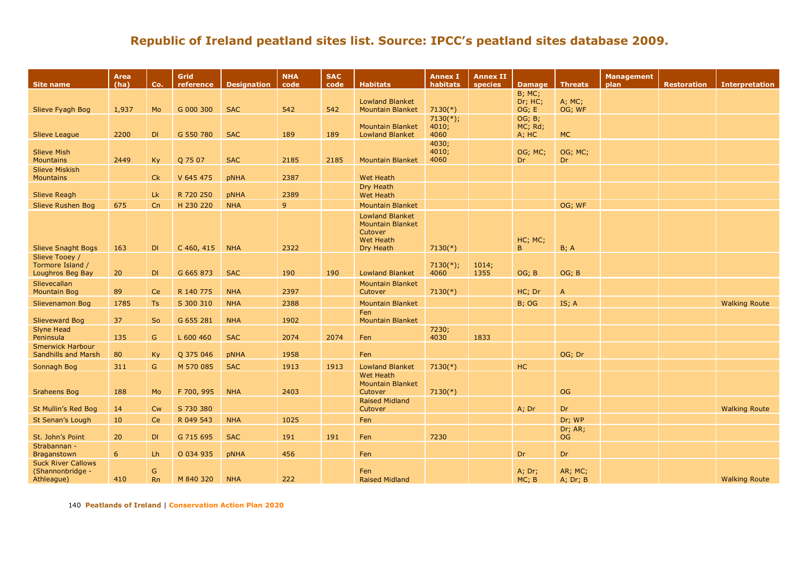| <b>B</b> ; MC;<br><b>Lowland Blanket</b><br>Dr; HC;<br>A; MC;<br><b>SAC</b><br>542<br>542<br>OG; E<br>Slieve Fyagh Bog<br>1,937<br>Mo<br>G 000 300<br><b>Mountain Blanket</b><br>$7130(*)$<br>OG; WF<br>$7130(*)$ ;<br>OG; B;<br>4010;<br>MC; Rd;<br><b>Mountain Blanket</b><br>189<br><b>MC</b><br>2200<br>DI<br>G 550 780<br><b>SAC</b><br>189<br><b>Lowland Blanket</b><br>4060<br>A; HC<br><b>Slieve League</b><br>4030;<br>4010;<br><b>Slieve Mish</b><br>OG; MC;<br>OG; MC;<br><b>Mountains</b><br>2449<br>Ky<br>Q 75 07<br><b>SAC</b><br>2185<br>2185<br>4060<br><b>Dr</b><br><b>Dr</b><br><b>Mountain Blanket</b><br><b>Slieve Miskish</b><br><b>Mountains</b><br>Ck<br>V 645 475<br>2387<br><b>Wet Heath</b><br>pNHA<br>Dry Heath<br>Lk<br>2389<br><b>Slieve Reagh</b><br>R 720 250<br><b>pNHA</b><br><b>Wet Heath</b><br>9<br>Slieve Rushen Bog<br>675<br>Cn<br>H 230 220<br><b>NHA</b><br><b>Mountain Blanket</b><br>OG; WF<br><b>Lowland Blanket</b><br><b>Mountain Blanket</b><br>Cutover<br>HC; MC;<br>Wet Heath<br>2322<br>B.<br><b>Slieve Snaght Bogs</b><br>DI<br>C 460, 415<br><b>NHA</b><br>Dry Heath<br>$7130(*)$<br>B; A<br>163<br>Slieve Tooey /<br>Tormore Island /<br>$7130(*)$ ;<br>1014;<br>G 665 873<br>190<br>190<br>OG; B<br>DI<br><b>SAC</b><br><b>Lowland Blanket</b><br>4060<br>1355<br>OG; B<br>Loughros Beg Bay<br>20<br>Slievecallan<br><b>Mountain Blanket</b><br>2397<br>R 140 775<br><b>NHA</b><br>$7130(*)$<br><b>Mountain Bog</b><br>89<br>Ce<br>Cutover<br>HC; Dr<br>$\mathsf{A}$<br>2388<br>1785<br>Ts<br>S 300 310<br><b>NHA</b><br><b>Mountain Blanket</b><br>B; OG<br>IS; A<br><b>Walking Route</b><br>Slievenamon Bog<br>Fen<br>37<br><b>So</b><br>G 655 281<br>1902<br><b>Slieveward Bog</b><br><b>NHA</b><br><b>Mountain Blanket</b><br><b>Slyne Head</b><br>7230;<br>Peninsula<br>G<br>2074<br>4030<br>135<br>L 600 460<br><b>SAC</b><br>2074<br>Fen<br>1833<br><b>Smerwick Harbour</b><br><b>Sandhills and Marsh</b><br>OG; Dr<br>80<br>Ky<br>Q 375 046<br>1958<br>Fen<br><b>pNHA</b><br>G<br>M 570 085<br><b>Lowland Blanket</b><br>HC<br>311<br><b>SAC</b><br>1913<br>1913<br>$7130(*)$<br>Sonnagh Bog<br><b>Wet Heath</b><br><b>Mountain Blanket</b><br><b>NHA</b><br>2403<br>Cutover<br><b>OG</b><br><b>Sraheens Bog</b><br>188<br>Mo<br>F 700, 995<br>$7130(*)$<br><b>Raised Midland</b><br>Cutover<br><b>Dr</b><br>St Mullin's Red Bog<br><b>Cw</b><br>S 730 380<br>A; Dr<br><b>Walking Route</b><br>14<br>Ce<br>R 049 543<br>1025<br>Fen<br>Dr: WP<br>St Senan's Lough<br>10<br><b>NHA</b><br>Dr; AR;<br>7230<br>St. John's Point<br>20<br>DI<br>G 715 695<br><b>SAC</b><br>191<br>191<br><b>OG</b><br>Fen<br>Strabannan -<br>6<br>Lh<br>O 034 935<br>456<br>Fen<br>Dr<br>Dr<br>Braganstown<br>pNHA<br><b>Suck River Callows</b> | <b>Site name</b> | Area<br>(ha) | Co. | Grid<br>reference | <b>Designation</b> | <b>NHA</b><br>code | <b>SAC</b><br>code | <b>Habitats</b> | <b>Annex I</b><br>habitats | <b>Annex II</b><br><b>species</b> | <b>Damage</b> | <b>Threats</b> | <b>Management</b><br>plan | <b>Restoration</b> | <b>Interpretation</b> |
|-------------------------------------------------------------------------------------------------------------------------------------------------------------------------------------------------------------------------------------------------------------------------------------------------------------------------------------------------------------------------------------------------------------------------------------------------------------------------------------------------------------------------------------------------------------------------------------------------------------------------------------------------------------------------------------------------------------------------------------------------------------------------------------------------------------------------------------------------------------------------------------------------------------------------------------------------------------------------------------------------------------------------------------------------------------------------------------------------------------------------------------------------------------------------------------------------------------------------------------------------------------------------------------------------------------------------------------------------------------------------------------------------------------------------------------------------------------------------------------------------------------------------------------------------------------------------------------------------------------------------------------------------------------------------------------------------------------------------------------------------------------------------------------------------------------------------------------------------------------------------------------------------------------------------------------------------------------------------------------------------------------------------------------------------------------------------------------------------------------------------------------------------------------------------------------------------------------------------------------------------------------------------------------------------------------------------------------------------------------------------------------------------------------------------------------------------------------------------------------------------------------------------------------------------------------------------------------------------------------------------------------------------------------------------------------------------------------------------------------------------------------------------------------------|------------------|--------------|-----|-------------------|--------------------|--------------------|--------------------|-----------------|----------------------------|-----------------------------------|---------------|----------------|---------------------------|--------------------|-----------------------|
|                                                                                                                                                                                                                                                                                                                                                                                                                                                                                                                                                                                                                                                                                                                                                                                                                                                                                                                                                                                                                                                                                                                                                                                                                                                                                                                                                                                                                                                                                                                                                                                                                                                                                                                                                                                                                                                                                                                                                                                                                                                                                                                                                                                                                                                                                                                                                                                                                                                                                                                                                                                                                                                                                                                                                                                           |                  |              |     |                   |                    |                    |                    |                 |                            |                                   |               |                |                           |                    |                       |
|                                                                                                                                                                                                                                                                                                                                                                                                                                                                                                                                                                                                                                                                                                                                                                                                                                                                                                                                                                                                                                                                                                                                                                                                                                                                                                                                                                                                                                                                                                                                                                                                                                                                                                                                                                                                                                                                                                                                                                                                                                                                                                                                                                                                                                                                                                                                                                                                                                                                                                                                                                                                                                                                                                                                                                                           |                  |              |     |                   |                    |                    |                    |                 |                            |                                   |               |                |                           |                    |                       |
|                                                                                                                                                                                                                                                                                                                                                                                                                                                                                                                                                                                                                                                                                                                                                                                                                                                                                                                                                                                                                                                                                                                                                                                                                                                                                                                                                                                                                                                                                                                                                                                                                                                                                                                                                                                                                                                                                                                                                                                                                                                                                                                                                                                                                                                                                                                                                                                                                                                                                                                                                                                                                                                                                                                                                                                           |                  |              |     |                   |                    |                    |                    |                 |                            |                                   |               |                |                           |                    |                       |
|                                                                                                                                                                                                                                                                                                                                                                                                                                                                                                                                                                                                                                                                                                                                                                                                                                                                                                                                                                                                                                                                                                                                                                                                                                                                                                                                                                                                                                                                                                                                                                                                                                                                                                                                                                                                                                                                                                                                                                                                                                                                                                                                                                                                                                                                                                                                                                                                                                                                                                                                                                                                                                                                                                                                                                                           |                  |              |     |                   |                    |                    |                    |                 |                            |                                   |               |                |                           |                    |                       |
|                                                                                                                                                                                                                                                                                                                                                                                                                                                                                                                                                                                                                                                                                                                                                                                                                                                                                                                                                                                                                                                                                                                                                                                                                                                                                                                                                                                                                                                                                                                                                                                                                                                                                                                                                                                                                                                                                                                                                                                                                                                                                                                                                                                                                                                                                                                                                                                                                                                                                                                                                                                                                                                                                                                                                                                           |                  |              |     |                   |                    |                    |                    |                 |                            |                                   |               |                |                           |                    |                       |
|                                                                                                                                                                                                                                                                                                                                                                                                                                                                                                                                                                                                                                                                                                                                                                                                                                                                                                                                                                                                                                                                                                                                                                                                                                                                                                                                                                                                                                                                                                                                                                                                                                                                                                                                                                                                                                                                                                                                                                                                                                                                                                                                                                                                                                                                                                                                                                                                                                                                                                                                                                                                                                                                                                                                                                                           |                  |              |     |                   |                    |                    |                    |                 |                            |                                   |               |                |                           |                    |                       |
|                                                                                                                                                                                                                                                                                                                                                                                                                                                                                                                                                                                                                                                                                                                                                                                                                                                                                                                                                                                                                                                                                                                                                                                                                                                                                                                                                                                                                                                                                                                                                                                                                                                                                                                                                                                                                                                                                                                                                                                                                                                                                                                                                                                                                                                                                                                                                                                                                                                                                                                                                                                                                                                                                                                                                                                           |                  |              |     |                   |                    |                    |                    |                 |                            |                                   |               |                |                           |                    |                       |
|                                                                                                                                                                                                                                                                                                                                                                                                                                                                                                                                                                                                                                                                                                                                                                                                                                                                                                                                                                                                                                                                                                                                                                                                                                                                                                                                                                                                                                                                                                                                                                                                                                                                                                                                                                                                                                                                                                                                                                                                                                                                                                                                                                                                                                                                                                                                                                                                                                                                                                                                                                                                                                                                                                                                                                                           |                  |              |     |                   |                    |                    |                    |                 |                            |                                   |               |                |                           |                    |                       |
|                                                                                                                                                                                                                                                                                                                                                                                                                                                                                                                                                                                                                                                                                                                                                                                                                                                                                                                                                                                                                                                                                                                                                                                                                                                                                                                                                                                                                                                                                                                                                                                                                                                                                                                                                                                                                                                                                                                                                                                                                                                                                                                                                                                                                                                                                                                                                                                                                                                                                                                                                                                                                                                                                                                                                                                           |                  |              |     |                   |                    |                    |                    |                 |                            |                                   |               |                |                           |                    |                       |
|                                                                                                                                                                                                                                                                                                                                                                                                                                                                                                                                                                                                                                                                                                                                                                                                                                                                                                                                                                                                                                                                                                                                                                                                                                                                                                                                                                                                                                                                                                                                                                                                                                                                                                                                                                                                                                                                                                                                                                                                                                                                                                                                                                                                                                                                                                                                                                                                                                                                                                                                                                                                                                                                                                                                                                                           |                  |              |     |                   |                    |                    |                    |                 |                            |                                   |               |                |                           |                    |                       |
|                                                                                                                                                                                                                                                                                                                                                                                                                                                                                                                                                                                                                                                                                                                                                                                                                                                                                                                                                                                                                                                                                                                                                                                                                                                                                                                                                                                                                                                                                                                                                                                                                                                                                                                                                                                                                                                                                                                                                                                                                                                                                                                                                                                                                                                                                                                                                                                                                                                                                                                                                                                                                                                                                                                                                                                           |                  |              |     |                   |                    |                    |                    |                 |                            |                                   |               |                |                           |                    |                       |
|                                                                                                                                                                                                                                                                                                                                                                                                                                                                                                                                                                                                                                                                                                                                                                                                                                                                                                                                                                                                                                                                                                                                                                                                                                                                                                                                                                                                                                                                                                                                                                                                                                                                                                                                                                                                                                                                                                                                                                                                                                                                                                                                                                                                                                                                                                                                                                                                                                                                                                                                                                                                                                                                                                                                                                                           |                  |              |     |                   |                    |                    |                    |                 |                            |                                   |               |                |                           |                    |                       |
|                                                                                                                                                                                                                                                                                                                                                                                                                                                                                                                                                                                                                                                                                                                                                                                                                                                                                                                                                                                                                                                                                                                                                                                                                                                                                                                                                                                                                                                                                                                                                                                                                                                                                                                                                                                                                                                                                                                                                                                                                                                                                                                                                                                                                                                                                                                                                                                                                                                                                                                                                                                                                                                                                                                                                                                           |                  |              |     |                   |                    |                    |                    |                 |                            |                                   |               |                |                           |                    |                       |
|                                                                                                                                                                                                                                                                                                                                                                                                                                                                                                                                                                                                                                                                                                                                                                                                                                                                                                                                                                                                                                                                                                                                                                                                                                                                                                                                                                                                                                                                                                                                                                                                                                                                                                                                                                                                                                                                                                                                                                                                                                                                                                                                                                                                                                                                                                                                                                                                                                                                                                                                                                                                                                                                                                                                                                                           |                  |              |     |                   |                    |                    |                    |                 |                            |                                   |               |                |                           |                    |                       |
|                                                                                                                                                                                                                                                                                                                                                                                                                                                                                                                                                                                                                                                                                                                                                                                                                                                                                                                                                                                                                                                                                                                                                                                                                                                                                                                                                                                                                                                                                                                                                                                                                                                                                                                                                                                                                                                                                                                                                                                                                                                                                                                                                                                                                                                                                                                                                                                                                                                                                                                                                                                                                                                                                                                                                                                           |                  |              |     |                   |                    |                    |                    |                 |                            |                                   |               |                |                           |                    |                       |
|                                                                                                                                                                                                                                                                                                                                                                                                                                                                                                                                                                                                                                                                                                                                                                                                                                                                                                                                                                                                                                                                                                                                                                                                                                                                                                                                                                                                                                                                                                                                                                                                                                                                                                                                                                                                                                                                                                                                                                                                                                                                                                                                                                                                                                                                                                                                                                                                                                                                                                                                                                                                                                                                                                                                                                                           |                  |              |     |                   |                    |                    |                    |                 |                            |                                   |               |                |                           |                    |                       |
|                                                                                                                                                                                                                                                                                                                                                                                                                                                                                                                                                                                                                                                                                                                                                                                                                                                                                                                                                                                                                                                                                                                                                                                                                                                                                                                                                                                                                                                                                                                                                                                                                                                                                                                                                                                                                                                                                                                                                                                                                                                                                                                                                                                                                                                                                                                                                                                                                                                                                                                                                                                                                                                                                                                                                                                           |                  |              |     |                   |                    |                    |                    |                 |                            |                                   |               |                |                           |                    |                       |
|                                                                                                                                                                                                                                                                                                                                                                                                                                                                                                                                                                                                                                                                                                                                                                                                                                                                                                                                                                                                                                                                                                                                                                                                                                                                                                                                                                                                                                                                                                                                                                                                                                                                                                                                                                                                                                                                                                                                                                                                                                                                                                                                                                                                                                                                                                                                                                                                                                                                                                                                                                                                                                                                                                                                                                                           |                  |              |     |                   |                    |                    |                    |                 |                            |                                   |               |                |                           |                    |                       |
|                                                                                                                                                                                                                                                                                                                                                                                                                                                                                                                                                                                                                                                                                                                                                                                                                                                                                                                                                                                                                                                                                                                                                                                                                                                                                                                                                                                                                                                                                                                                                                                                                                                                                                                                                                                                                                                                                                                                                                                                                                                                                                                                                                                                                                                                                                                                                                                                                                                                                                                                                                                                                                                                                                                                                                                           |                  |              |     |                   |                    |                    |                    |                 |                            |                                   |               |                |                           |                    |                       |
|                                                                                                                                                                                                                                                                                                                                                                                                                                                                                                                                                                                                                                                                                                                                                                                                                                                                                                                                                                                                                                                                                                                                                                                                                                                                                                                                                                                                                                                                                                                                                                                                                                                                                                                                                                                                                                                                                                                                                                                                                                                                                                                                                                                                                                                                                                                                                                                                                                                                                                                                                                                                                                                                                                                                                                                           |                  |              |     |                   |                    |                    |                    |                 |                            |                                   |               |                |                           |                    |                       |
|                                                                                                                                                                                                                                                                                                                                                                                                                                                                                                                                                                                                                                                                                                                                                                                                                                                                                                                                                                                                                                                                                                                                                                                                                                                                                                                                                                                                                                                                                                                                                                                                                                                                                                                                                                                                                                                                                                                                                                                                                                                                                                                                                                                                                                                                                                                                                                                                                                                                                                                                                                                                                                                                                                                                                                                           |                  |              |     |                   |                    |                    |                    |                 |                            |                                   |               |                |                           |                    |                       |
|                                                                                                                                                                                                                                                                                                                                                                                                                                                                                                                                                                                                                                                                                                                                                                                                                                                                                                                                                                                                                                                                                                                                                                                                                                                                                                                                                                                                                                                                                                                                                                                                                                                                                                                                                                                                                                                                                                                                                                                                                                                                                                                                                                                                                                                                                                                                                                                                                                                                                                                                                                                                                                                                                                                                                                                           |                  |              |     |                   |                    |                    |                    |                 |                            |                                   |               |                |                           |                    |                       |
|                                                                                                                                                                                                                                                                                                                                                                                                                                                                                                                                                                                                                                                                                                                                                                                                                                                                                                                                                                                                                                                                                                                                                                                                                                                                                                                                                                                                                                                                                                                                                                                                                                                                                                                                                                                                                                                                                                                                                                                                                                                                                                                                                                                                                                                                                                                                                                                                                                                                                                                                                                                                                                                                                                                                                                                           |                  |              |     |                   |                    |                    |                    |                 |                            |                                   |               |                |                           |                    |                       |
|                                                                                                                                                                                                                                                                                                                                                                                                                                                                                                                                                                                                                                                                                                                                                                                                                                                                                                                                                                                                                                                                                                                                                                                                                                                                                                                                                                                                                                                                                                                                                                                                                                                                                                                                                                                                                                                                                                                                                                                                                                                                                                                                                                                                                                                                                                                                                                                                                                                                                                                                                                                                                                                                                                                                                                                           |                  |              |     |                   |                    |                    |                    |                 |                            |                                   |               |                |                           |                    |                       |
|                                                                                                                                                                                                                                                                                                                                                                                                                                                                                                                                                                                                                                                                                                                                                                                                                                                                                                                                                                                                                                                                                                                                                                                                                                                                                                                                                                                                                                                                                                                                                                                                                                                                                                                                                                                                                                                                                                                                                                                                                                                                                                                                                                                                                                                                                                                                                                                                                                                                                                                                                                                                                                                                                                                                                                                           |                  |              |     |                   |                    |                    |                    |                 |                            |                                   |               |                |                           |                    |                       |
|                                                                                                                                                                                                                                                                                                                                                                                                                                                                                                                                                                                                                                                                                                                                                                                                                                                                                                                                                                                                                                                                                                                                                                                                                                                                                                                                                                                                                                                                                                                                                                                                                                                                                                                                                                                                                                                                                                                                                                                                                                                                                                                                                                                                                                                                                                                                                                                                                                                                                                                                                                                                                                                                                                                                                                                           |                  |              |     |                   |                    |                    |                    |                 |                            |                                   |               |                |                           |                    |                       |
|                                                                                                                                                                                                                                                                                                                                                                                                                                                                                                                                                                                                                                                                                                                                                                                                                                                                                                                                                                                                                                                                                                                                                                                                                                                                                                                                                                                                                                                                                                                                                                                                                                                                                                                                                                                                                                                                                                                                                                                                                                                                                                                                                                                                                                                                                                                                                                                                                                                                                                                                                                                                                                                                                                                                                                                           |                  |              |     |                   |                    |                    |                    |                 |                            |                                   |               |                |                           |                    |                       |
|                                                                                                                                                                                                                                                                                                                                                                                                                                                                                                                                                                                                                                                                                                                                                                                                                                                                                                                                                                                                                                                                                                                                                                                                                                                                                                                                                                                                                                                                                                                                                                                                                                                                                                                                                                                                                                                                                                                                                                                                                                                                                                                                                                                                                                                                                                                                                                                                                                                                                                                                                                                                                                                                                                                                                                                           |                  |              |     |                   |                    |                    |                    |                 |                            |                                   |               |                |                           |                    |                       |
|                                                                                                                                                                                                                                                                                                                                                                                                                                                                                                                                                                                                                                                                                                                                                                                                                                                                                                                                                                                                                                                                                                                                                                                                                                                                                                                                                                                                                                                                                                                                                                                                                                                                                                                                                                                                                                                                                                                                                                                                                                                                                                                                                                                                                                                                                                                                                                                                                                                                                                                                                                                                                                                                                                                                                                                           |                  |              |     |                   |                    |                    |                    |                 |                            |                                   |               |                |                           |                    |                       |
|                                                                                                                                                                                                                                                                                                                                                                                                                                                                                                                                                                                                                                                                                                                                                                                                                                                                                                                                                                                                                                                                                                                                                                                                                                                                                                                                                                                                                                                                                                                                                                                                                                                                                                                                                                                                                                                                                                                                                                                                                                                                                                                                                                                                                                                                                                                                                                                                                                                                                                                                                                                                                                                                                                                                                                                           |                  |              |     |                   |                    |                    |                    |                 |                            |                                   |               |                |                           |                    |                       |
|                                                                                                                                                                                                                                                                                                                                                                                                                                                                                                                                                                                                                                                                                                                                                                                                                                                                                                                                                                                                                                                                                                                                                                                                                                                                                                                                                                                                                                                                                                                                                                                                                                                                                                                                                                                                                                                                                                                                                                                                                                                                                                                                                                                                                                                                                                                                                                                                                                                                                                                                                                                                                                                                                                                                                                                           |                  |              |     |                   |                    |                    |                    |                 |                            |                                   |               |                |                           |                    |                       |
|                                                                                                                                                                                                                                                                                                                                                                                                                                                                                                                                                                                                                                                                                                                                                                                                                                                                                                                                                                                                                                                                                                                                                                                                                                                                                                                                                                                                                                                                                                                                                                                                                                                                                                                                                                                                                                                                                                                                                                                                                                                                                                                                                                                                                                                                                                                                                                                                                                                                                                                                                                                                                                                                                                                                                                                           |                  |              |     |                   |                    |                    |                    |                 |                            |                                   |               |                |                           |                    |                       |
|                                                                                                                                                                                                                                                                                                                                                                                                                                                                                                                                                                                                                                                                                                                                                                                                                                                                                                                                                                                                                                                                                                                                                                                                                                                                                                                                                                                                                                                                                                                                                                                                                                                                                                                                                                                                                                                                                                                                                                                                                                                                                                                                                                                                                                                                                                                                                                                                                                                                                                                                                                                                                                                                                                                                                                                           |                  |              |     |                   |                    |                    |                    |                 |                            |                                   |               |                |                           |                    |                       |
|                                                                                                                                                                                                                                                                                                                                                                                                                                                                                                                                                                                                                                                                                                                                                                                                                                                                                                                                                                                                                                                                                                                                                                                                                                                                                                                                                                                                                                                                                                                                                                                                                                                                                                                                                                                                                                                                                                                                                                                                                                                                                                                                                                                                                                                                                                                                                                                                                                                                                                                                                                                                                                                                                                                                                                                           |                  |              |     |                   |                    |                    |                    |                 |                            |                                   |               |                |                           |                    |                       |
|                                                                                                                                                                                                                                                                                                                                                                                                                                                                                                                                                                                                                                                                                                                                                                                                                                                                                                                                                                                                                                                                                                                                                                                                                                                                                                                                                                                                                                                                                                                                                                                                                                                                                                                                                                                                                                                                                                                                                                                                                                                                                                                                                                                                                                                                                                                                                                                                                                                                                                                                                                                                                                                                                                                                                                                           |                  |              |     |                   |                    |                    |                    |                 |                            |                                   |               |                |                           |                    |                       |
| (Shannonbridge -<br>G<br>Fen<br>A; Dr;<br>AR; MC;<br>Athleague)<br>410<br>M 840 320<br><b>NHA</b><br>222<br><b>Rn</b><br><b>Walking Route</b><br><b>Raised Midland</b><br>MC; B<br>A; Dr; B                                                                                                                                                                                                                                                                                                                                                                                                                                                                                                                                                                                                                                                                                                                                                                                                                                                                                                                                                                                                                                                                                                                                                                                                                                                                                                                                                                                                                                                                                                                                                                                                                                                                                                                                                                                                                                                                                                                                                                                                                                                                                                                                                                                                                                                                                                                                                                                                                                                                                                                                                                                               |                  |              |     |                   |                    |                    |                    |                 |                            |                                   |               |                |                           |                    |                       |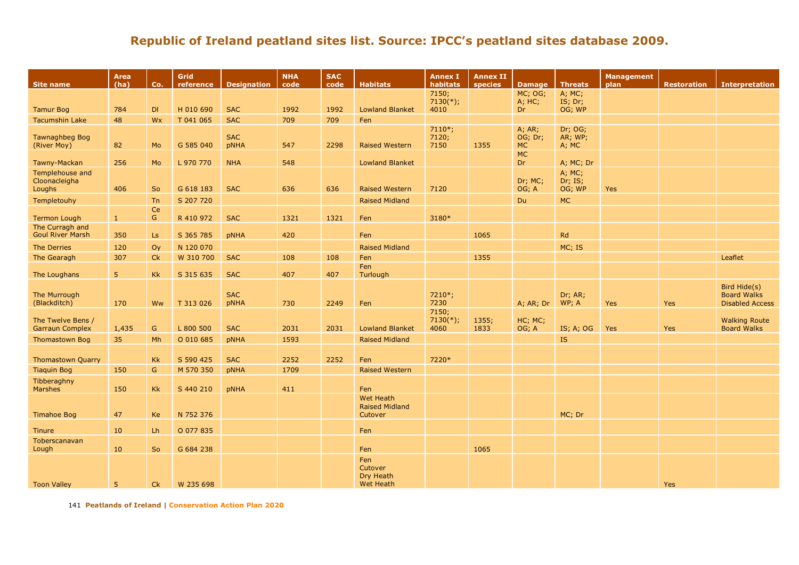| <b>Site name</b>                            | Area<br>(ha)   | Co.                | Grid<br>reference | <b>Designation</b> | <b>NHA</b><br>code | <b>SAC</b><br>code | <b>Habitats</b>                    | <b>Annex I</b><br>habitats   | <b>Annex II</b><br>species | <b>Damage</b>                  | <b>Threats</b>              | <b>Management</b><br>plan | <b>Restoration</b> | <b>Interpretation</b>                                        |
|---------------------------------------------|----------------|--------------------|-------------------|--------------------|--------------------|--------------------|------------------------------------|------------------------------|----------------------------|--------------------------------|-----------------------------|---------------------------|--------------------|--------------------------------------------------------------|
|                                             |                |                    |                   |                    |                    |                    |                                    | 7150;                        |                            | MC; OG;                        | $A$ ; MC;                   |                           |                    |                                                              |
| <b>Tamur Bog</b>                            | 784            | DI                 | H 010 690         | <b>SAC</b>         | 1992               | 1992               | <b>Lowland Blanket</b>             | $7130(*)$ ;<br>4010          |                            | A; HC;<br>Dr.                  | IS; Dr;<br>OG; WP           |                           |                    |                                                              |
| <b>Tacumshin Lake</b>                       | 48             | Wx                 | T 041 065         | <b>SAC</b>         | 709                | 709                | Fen                                |                              |                            |                                |                             |                           |                    |                                                              |
| <b>Tawnaghbeg Bog</b><br>(River Moy)        | 82             | Mo                 | G 585 040         | <b>SAC</b><br>pNHA | 547                | 2298               | <b>Raised Western</b>              | $7110*;$<br>7120;<br>7150    | 1355                       | A; AR;<br>OG; Dr;<br><b>MC</b> | Dr; OG;<br>AR; WP;<br>A; MC |                           |                    |                                                              |
| Tawny-Mackan                                | 256            | Mo                 | L 970 770         | <b>NHA</b>         | 548                |                    | <b>Lowland Blanket</b>             |                              |                            | <b>MC</b><br>Dr.               | A; MC; Dr                   |                           |                    |                                                              |
| Templehouse and<br>Cloonacleigha<br>Loughs  | 406            | So                 | G 618 183         | <b>SAC</b>         | 636                | 636                | <b>Raised Western</b>              | 7120                         |                            | Dr; MC;<br>OG; A               | A; MC;<br>Dr; IS;<br>OG; WP | <b>Yes</b>                |                    |                                                              |
| Templetouhy                                 |                | Tn                 | S 207 720         |                    |                    |                    | <b>Raised Midland</b>              |                              |                            | Du                             | <b>MC</b>                   |                           |                    |                                                              |
| <b>Termon Lough</b>                         | $\mathbf{1}$   | Ce<br>$\mathsf{G}$ | R 410 972         | <b>SAC</b>         | 1321               | 1321               | Fen                                | 3180*                        |                            |                                |                             |                           |                    |                                                              |
| The Curragh and                             |                |                    |                   |                    |                    |                    |                                    |                              |                            |                                |                             |                           |                    |                                                              |
| <b>Goul River Marsh</b>                     | 350            | Ls                 | S 365 785         | <b>pNHA</b>        | 420                |                    | Fen                                |                              | 1065                       |                                | Rd                          |                           |                    |                                                              |
| The Derries                                 | 120            | Oy                 | N 120 070         |                    |                    |                    | <b>Raised Midland</b>              |                              |                            |                                | MC; IS                      |                           |                    |                                                              |
| The Gearagh                                 | 307            | <b>Ck</b>          | W 310 700         | <b>SAC</b>         | 108                | 108                | Fen                                |                              | 1355                       |                                |                             |                           |                    | Leaflet                                                      |
| The Loughans                                | 5 <sup>1</sup> | <b>Kk</b>          | S 315 635         | <b>SAC</b>         | 407                | 407                | Fen<br>Turlough                    |                              |                            |                                |                             |                           |                    |                                                              |
| The Murrough<br>(Blackditch)                | 170            | Ww                 | T 313 026         | <b>SAC</b><br>pNHA | 730                | 2249               | Fen                                | 7210*;<br>7230               |                            | A; AR; Dr                      | Dr; AR;<br>WP; A            | <b>Yes</b>                | <b>Yes</b>         | Bird Hide(s)<br><b>Board Walks</b><br><b>Disabled Access</b> |
| The Twelve Bens /<br><b>Garraun Complex</b> | 1,435          | G                  | L 800 500         | <b>SAC</b>         | 2031               | 2031               | <b>Lowland Blanket</b>             | 7150;<br>$7130(*)$ ;<br>4060 | 1355;<br>1833              | HC; MC;<br>OG; A               | IS; A; OG                   | <b>Yes</b>                | Yes                | <b>Walking Route</b><br><b>Board Walks</b>                   |
| <b>Thomastown Bog</b>                       | 35             | Mh                 | O 010 685         | pNHA               | 1593               |                    | <b>Raised Midland</b>              |                              |                            |                                | <b>IS</b>                   |                           |                    |                                                              |
| <b>Thomastown Quarry</b>                    |                | Kk                 | S 590 425         | <b>SAC</b>         | 2252               | 2252               | Fen                                | 7220*                        |                            |                                |                             |                           |                    |                                                              |
| <b>Tiaquin Bog</b>                          | 150            | G                  | M 570 350         | <b>pNHA</b>        | 1709               |                    | <b>Raised Western</b>              |                              |                            |                                |                             |                           |                    |                                                              |
| Tibberaghny                                 |                |                    |                   |                    |                    |                    |                                    |                              |                            |                                |                             |                           |                    |                                                              |
| Marshes                                     | 150            | <b>Kk</b>          | S 440 210         | pNHA               | 411                |                    | Fen                                |                              |                            |                                |                             |                           |                    |                                                              |
|                                             |                |                    |                   |                    |                    |                    | Wet Heath<br><b>Raised Midland</b> |                              |                            |                                |                             |                           |                    |                                                              |
| <b>Timahoe Bog</b>                          | 47             | Ke                 | N 752 376         |                    |                    |                    | Cutover                            |                              |                            |                                | MC; Dr                      |                           |                    |                                                              |
| Tinure                                      | 10             | Lh                 | O 077 835         |                    |                    |                    | Fen                                |                              |                            |                                |                             |                           |                    |                                                              |
| Toberscanavan                               |                |                    |                   |                    |                    |                    |                                    |                              |                            |                                |                             |                           |                    |                                                              |
| Lough                                       | 10             | So                 | G 684 238         |                    |                    |                    | Fen                                |                              | 1065                       |                                |                             |                           |                    |                                                              |
|                                             |                |                    |                   |                    |                    |                    | Fen<br>Cutover<br>Dry Heath        |                              |                            |                                |                             |                           |                    |                                                              |
| <b>Toon Valley</b>                          | 5              | Ck                 | W 235 698         |                    |                    |                    | <b>Wet Heath</b>                   |                              |                            |                                |                             |                           | Yes                |                                                              |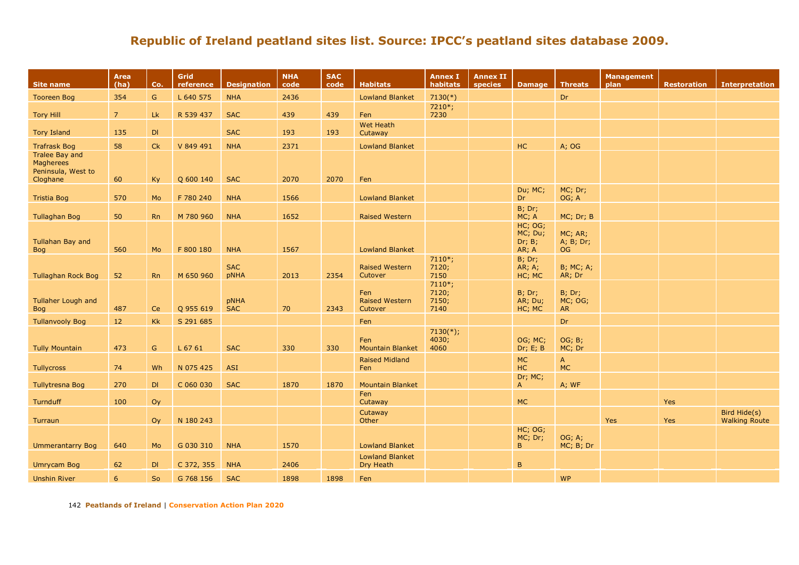| Site name                                                            | Area<br>(ha)   | Co.           | Grid<br>reference | <b>Designation</b>        | <b>NHA</b><br>code | <b>SAC</b><br>code | <b>Habitats</b>                         | <b>Annex I</b><br>habitats         | <b>Annex II</b><br>species | Damage   Threats                      |                                | <b>Management</b><br>plan | <b>Restoration</b> | <b>Interpretation</b>                |
|----------------------------------------------------------------------|----------------|---------------|-------------------|---------------------------|--------------------|--------------------|-----------------------------------------|------------------------------------|----------------------------|---------------------------------------|--------------------------------|---------------------------|--------------------|--------------------------------------|
| <b>Tooreen Bog</b>                                                   | 354            | $\mathsf{G}$  | L 640 575         | <b>NHA</b>                | 2436               |                    | <b>Lowland Blanket</b>                  | $7130(*)$                          |                            |                                       | Dr                             |                           |                    |                                      |
| <b>Tory Hill</b>                                                     | $\overline{7}$ | Lk            | R 539 437         | <b>SAC</b>                | 439                | 439                | Fen                                     | 7210*;<br>7230                     |                            |                                       |                                |                           |                    |                                      |
| <b>Tory Island</b>                                                   | 135            | DI            |                   | <b>SAC</b>                | 193                | 193                | Wet Heath<br>Cutaway                    |                                    |                            |                                       |                                |                           |                    |                                      |
| <b>Trafrask Bog</b>                                                  | 58             | Ck            | V 849 491         | <b>NHA</b>                | 2371               |                    | <b>Lowland Blanket</b>                  |                                    |                            | HC                                    | A; OG                          |                           |                    |                                      |
| Tralee Bay and<br><b>Magherees</b><br>Peninsula, West to<br>Cloghane | 60             | Ky            | Q 600 140         | <b>SAC</b>                | 2070               | 2070               | Fen                                     |                                    |                            |                                       |                                |                           |                    |                                      |
| <b>Tristia Bog</b>                                                   | 570            | Mo            | F 780 240         | <b>NHA</b>                | 1566               |                    | <b>Lowland Blanket</b>                  |                                    |                            | Du; MC;<br>Dr.                        | MC; Dr;<br>OG; A               |                           |                    |                                      |
| <b>Tullaghan Bog</b>                                                 | 50             | <b>Rn</b>     | M 780 960         | <b>NHA</b>                | 1652               |                    | <b>Raised Western</b>                   |                                    |                            | <b>B</b> ; Dr;<br>MC; A               | MC; Dr; B                      |                           |                    |                                      |
| <b>Tullahan Bay and</b><br><b>Bog</b>                                | 560            | Mo            | F 800 180         | <b>NHA</b>                | 1567               |                    | <b>Lowland Blanket</b>                  |                                    |                            | HC; OG;<br>MC; Du;<br>Dr; B;<br>AR; A | MC; AR;<br>A; B; Dr;<br>OG     |                           |                    |                                      |
| <b>Tullaghan Rock Bog</b>                                            | 52             | Rn            | M 650 960         | <b>SAC</b><br>pNHA        | 2013               | 2354               | <b>Raised Western</b><br>Cutover        | $7110*;$<br>7120;<br>7150          |                            | B; Dr;<br>AR; A;<br>HC; MC            | <b>B</b> ; MC; A;<br>AR; Dr    |                           |                    |                                      |
| Tullaher Lough and<br><b>Bog</b>                                     | 487            | Ce            | Q 955 619         | <b>pNHA</b><br><b>SAC</b> | 70                 | 2343               | Fen<br><b>Raised Western</b><br>Cutover | $7110*;$<br>7120;<br>7150;<br>7140 |                            | <b>B</b> ; Dr;<br>AR; Du;<br>HC; MC   | B; Dr;<br>MC; OG;<br><b>AR</b> |                           |                    |                                      |
| <b>Tullanvooly Bog</b>                                               | 12             | Kk            | S 291 685         |                           |                    |                    | Fen                                     |                                    |                            |                                       | Dr                             |                           |                    |                                      |
| <b>Tully Mountain</b>                                                | 473            | ${\mathsf G}$ | L 67 61           | <b>SAC</b>                | 330                | 330                | Fen<br><b>Mountain Blanket</b>          | $7130(*)$ ;<br>4030;<br>4060       |                            | OG; MC;<br>Dr; E; B                   | OG; B;<br>MC; Dr               |                           |                    |                                      |
| Tullycross                                                           | 74             | Wh            | N 075 425         | <b>ASI</b>                |                    |                    | <b>Raised Midland</b><br>Fen            |                                    |                            | <b>MC</b><br>HC                       | $\mathsf{A}$<br><b>MC</b>      |                           |                    |                                      |
| <b>Tullytresna Bog</b>                                               | 270            | DI            | C 060 030         | <b>SAC</b>                | 1870               | 1870               | <b>Mountain Blanket</b>                 |                                    |                            | Dr; MC;<br>$\mathsf{A}$               | A; WF                          |                           |                    |                                      |
| Turnduff                                                             | 100            | Oy            |                   |                           |                    |                    | Fen<br>Cutaway                          |                                    |                            | <b>MC</b>                             |                                |                           | Yes                |                                      |
| Turraun                                                              |                | Oy            | N 180 243         |                           |                    |                    | Cutaway<br>Other                        |                                    |                            |                                       |                                | <b>Yes</b>                | Yes                | Bird Hide(s)<br><b>Walking Route</b> |
| Ummerantarry Bog                                                     | 640            | Mo            | G 030 310         | <b>NHA</b>                | 1570               |                    | <b>Lowland Blanket</b>                  |                                    |                            | HC; OG;<br>MC; Dr;<br>B.              | OG; A;<br>MC; B; Dr            |                           |                    |                                      |
| <b>Umrycam Bog</b>                                                   | 62             | DI            | C 372, 355        | <b>NHA</b>                | 2406               |                    | <b>Lowland Blanket</b><br>Dry Heath     |                                    |                            | $\, {\bf B}$                          |                                |                           |                    |                                      |
| <b>Unshin River</b>                                                  | 6              | So            | G 768 156         | <b>SAC</b>                | 1898               | 1898               | Fen                                     |                                    |                            |                                       | <b>WP</b>                      |                           |                    |                                      |